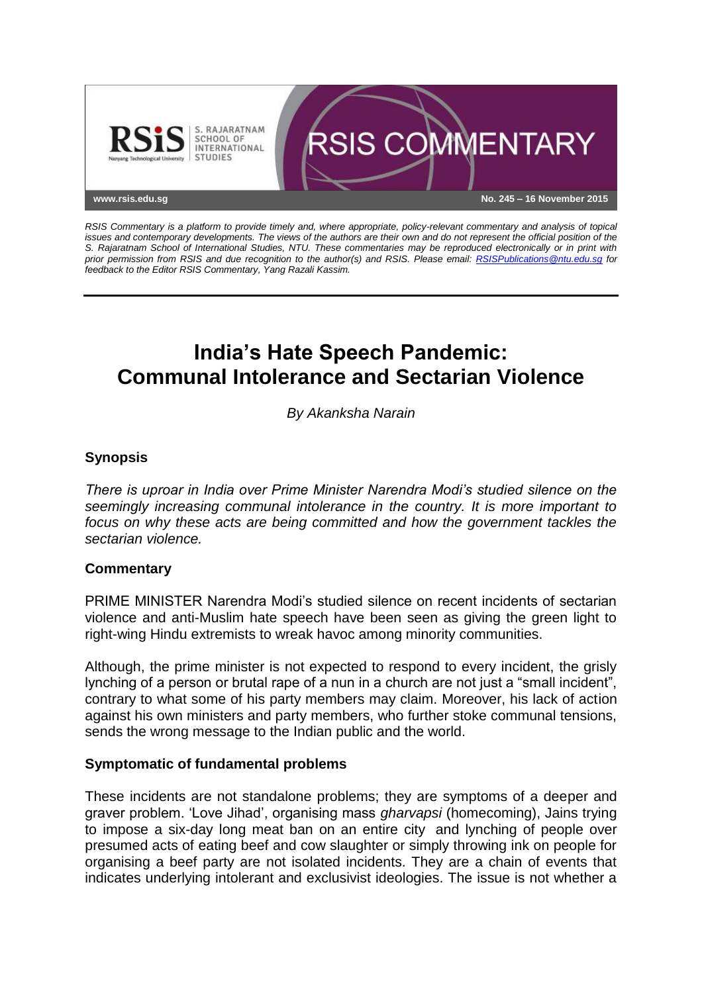

*RSIS Commentary is a platform to provide timely and, where appropriate, policy-relevant commentary and analysis of topical issues and contemporary developments. The views of the authors are their own and do not represent the official position of the S. Rajaratnam School of International Studies, NTU. These commentaries may be reproduced electronically or in print with prior permission from RSIS and due recognition to the author(s) and RSIS. Please email: [RSISPublications@ntu.edu.sg](mailto:RSISPublications@ntu.edu.sg) for feedback to the Editor RSIS Commentary, Yang Razali Kassim.*

# **India's Hate Speech Pandemic: Communal Intolerance and Sectarian Violence**

*By Akanksha Narain*

## **Synopsis**

*There is uproar in India over Prime Minister Narendra Modi's studied silence on the seemingly increasing communal intolerance in the country. It is more important to focus on why these acts are being committed and how the government tackles the sectarian violence.*

### **Commentary**

PRIME MINISTER Narendra Modi's studied silence on recent incidents of sectarian violence and anti-Muslim hate speech have been seen as giving the green light to right-wing Hindu extremists to wreak havoc among minority communities.

Although, the prime minister is not expected to respond to every incident, the grisly lynching of a person or brutal rape of a nun in a church are not just a "small incident", contrary to what some of his party members may claim. Moreover, his lack of action against his own ministers and party members, who further stoke communal tensions, sends the wrong message to the Indian public and the world.

### **Symptomatic of fundamental problems**

These incidents are not standalone problems; they are symptoms of a deeper and graver problem. 'Love Jihad', organising mass *gharvapsi* (homecoming), Jains trying to impose a six-day long meat ban on an entire city and lynching of people over presumed acts of eating beef and cow slaughter or simply throwing ink on people for organising a beef party are not isolated incidents. They are a chain of events that indicates underlying intolerant and exclusivist ideologies. The issue is not whether a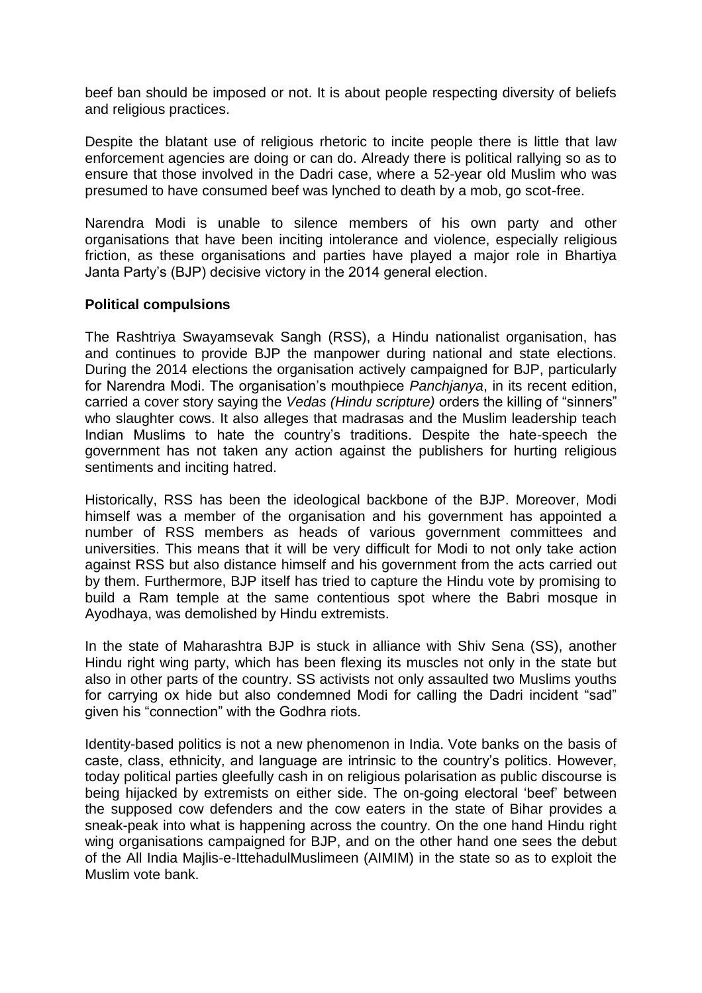beef ban should be imposed or not. It is about people respecting diversity of beliefs and religious practices.

Despite the blatant use of religious rhetoric to incite people there is little that law enforcement agencies are doing or can do. Already there is political rallying so as to ensure that those involved in the Dadri case, where a 52-year old Muslim who was presumed to have consumed beef was lynched to death by a mob, go scot-free.

Narendra Modi is unable to silence members of his own party and other organisations that have been inciting intolerance and violence, especially religious friction, as these organisations and parties have played a major role in Bhartiya Janta Party's (BJP) decisive victory in the 2014 general election.

### **Political compulsions**

The Rashtriya Swayamsevak Sangh (RSS), a Hindu nationalist organisation, has and continues to provide BJP the manpower during national and state elections. During the 2014 elections the organisation actively campaigned for BJP, particularly for Narendra Modi. The organisation's mouthpiece *Panchjanya*, in its recent edition, carried a cover story saying the *Vedas (Hindu scripture)* orders the killing of "sinners" who slaughter cows. It also alleges that madrasas and the Muslim leadership teach Indian Muslims to hate the country's traditions. Despite the hate-speech the government has not taken any action against the publishers for hurting religious sentiments and inciting hatred.

Historically, RSS has been the ideological backbone of the BJP. Moreover, Modi himself was a member of the organisation and his government has appointed a number of RSS members as heads of various government committees and universities. This means that it will be very difficult for Modi to not only take action against RSS but also distance himself and his government from the acts carried out by them. Furthermore, BJP itself has tried to capture the Hindu vote by promising to build a Ram temple at the same contentious spot where the Babri mosque in Ayodhaya, was demolished by Hindu extremists.

In the state of Maharashtra BJP is stuck in alliance with Shiv Sena (SS), another Hindu right wing party, which has been flexing its muscles not only in the state but also in other parts of the country. SS activists not only assaulted two Muslims youths for carrying ox hide but also condemned Modi for calling the Dadri incident "sad" given his "connection" with the Godhra riots.

Identity-based politics is not a new phenomenon in India. Vote banks on the basis of caste, class, ethnicity, and language are intrinsic to the country's politics. However, today political parties gleefully cash in on religious polarisation as public discourse is being hijacked by extremists on either side. The on-going electoral 'beef' between the supposed cow defenders and the cow eaters in the state of Bihar provides a sneak-peak into what is happening across the country. On the one hand Hindu right wing organisations campaigned for BJP, and on the other hand one sees the debut of the All India Majlis-e-IttehadulMuslimeen (AIMIM) in the state so as to exploit the Muslim vote bank.